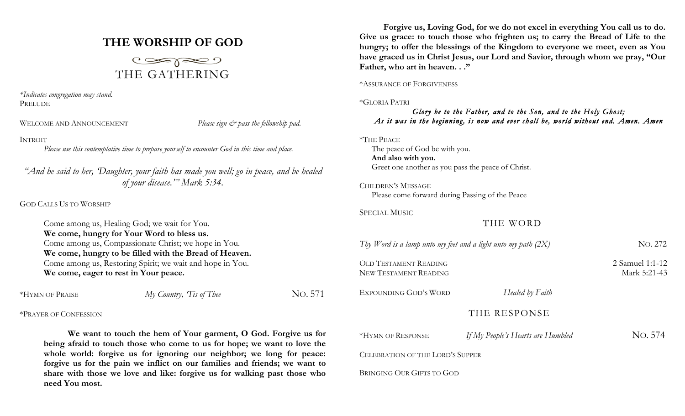# **THE WORSHIP OF GOD**



*\*Indicates congregation may stand.* PRELUDE

WELCOME AND ANNOUNCEMENT *Please sign*  $\breve{c}$  *pass the fellowship pad.* 

# INTROIT

*Please use this contemplative time to prepare yourself to encounter God in this time and place.*

*"And he said to her, 'Daughter, your faith has made you well; go in peace, and be healed of your disease.'" Mark 5:34.*

GOD CALLS US TO WORSHIP

Come among us, Healing God; we wait for You. **We come, hungry for Your Word to bless us.** Come among us, Compassionate Christ; we hope in You. **We come, hungry to be filled with the Bread of Heaven.** Come among us, Restoring Spirit; we wait and hope in You. **We come, eager to rest in Your peace.**

\*HYMN OF PRAISE *My Country, Tis of Thee* NO. 571

\*PRAYER OF CONFESSION

**We want to touch the hem of Your garment, O God. Forgive us for being afraid to touch those who come to us for hope; we want to love the whole world: forgive us for ignoring our neighbor; we long for peace: forgive us for the pain we inflict on our families and friends; we want to share with those we love and like: forgive us for walking past those who need You most.**

**Forgive us, Loving God, for we do not excel in everything You call us to do. Give us grace: to touch those who frighten us; to carry the Bread of Life to the hungry; to offer the blessings of the Kingdom to everyone we meet, even as You have graced us in Christ Jesus, our Lord and Savior, through whom we pray, "Our Father, who art in heaven. . ."**

\*ASSURANCE OF FORGIVENESS

### \*GLORIA PATRI

# *Glory be to the Father, and to the Son, and to the Holy Ghost; As it was in the beginning, is now and ever shall be, world without end. Amen. Amen*

\*THE PEACE The peace of God be with you. **And also with you.** Greet one another as you pass the peace of Christ.

CHILDREN'S MESSAGE Please come forward during Passing of the Peace

SPECIAL MUSIC

THE WORD

*Thy Word is a lamp unto my feet and a light unto my path (2X)* NO. 272 OLD TESTAMENT READING 2 Samuel 1:1-12

EXPOUNDING GOD'S WORD *Healed by Faith* 

THE RESPONSE

NEW TESTAMENT READING Mark 5:21-43

\*HYMN OF RESPONSE*If My People's Hearts are Humbled* NO. 574

CELEBRATION OF THE LORD'S SUPPER

BRINGING OUR GIFTS TO GOD